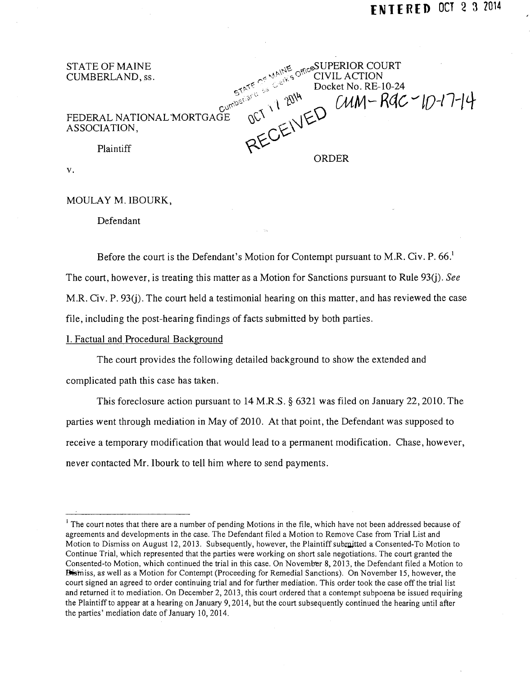STATE OF MAINE CUMBERLAND, ss.  $\omega$ E<sub>-ric</sub>eSUPERIOR COURT re. <sup>MAN</sup><sub>6</sub>9<sup>011</sup> CIVIL ACTION  $\mathcal{R}^{\mathcal{R}^{\mathcal{R}} \setminus \mathbb{C}_{\mathcal{R}^{\mathcal{R}}}}$   $\qquad \qquad$  Docket No. RE-10-24  $C_{\text{c}}$ <sup>oscare</sup> 1  $\mathcal{D}^{\text{th}}$   $\sim$   $\mathcal{C}^{\text{t}}$   $\sim$   $\mathcal{C}^{\text{t}}$   $\sim$   $\mathcal{C}^{\text{t}}$   $\sim$   $\mathcal{D}$ -17-14 FEDERAL NATIONAL MORTGAGE ASSOCIATION,  $c \in N$ Plaintiff  $R^{\mathcal{L}}$ ORDER

v.

## MOULAY M. IBOURK,

Defendant

Before the court is the Defendant's Motion for Contempt pursuant to M.R. Civ. P. 66.<sup>1</sup> The court, however, is treating this matter as a Motion for Sanctions pursuant to Rule 93(j). *See*  M.R. Civ. P. 93(j). The court held a testimonial hearing on this matter, and has reviewed the case file, including the post-hearing findings of facts submitted by both parties.

## I. Factual and Procedural Background

The court provides the following detailed background to show the extended and complicated path this case has taken.

This foreclosure action pursuant to  $14$  M.R.S. § 6321 was filed on January 22, 2010. The parties went through mediation in May of 2010. At that point, the Defendant was supposed to receive a temporary modification that would lead to a permanent modification. Chase, however, never contacted Mr. Ibourk to tell him where to send payments.

<sup>&</sup>lt;sup>1</sup> The court notes that there are a number of pending Motions in the file, which have not been addressed because of agreements and developments in the case. The Defendant filed a Motion to Remove Case from Trial List and Motion to Dismiss on August 12, 2013. Subsequently, however, the Plaintiff submitted a Consented-To Motion to Continue Trial, which represented that the parties were working on short sale negotiations. The court granted the Consented-to Motion, which continued the trial in this case. On November 8, 2013, the Defendant filed a Motion to 15th iss, as well as a Motion for Contempt (Proceeding for Remedial Sanctions). On November 15, however, the court signed an agreed to order continuing trial and for further mediation. This order took the case off the trial list and returned it to mediation. On December 2, 2013, this court ordered that a contempt subpoena be issued requiring the Plaintiff to appear at a hearing on January 9, 2014, but the court subsequently continued the hearing until after the parties' mediation date of January 10,2014.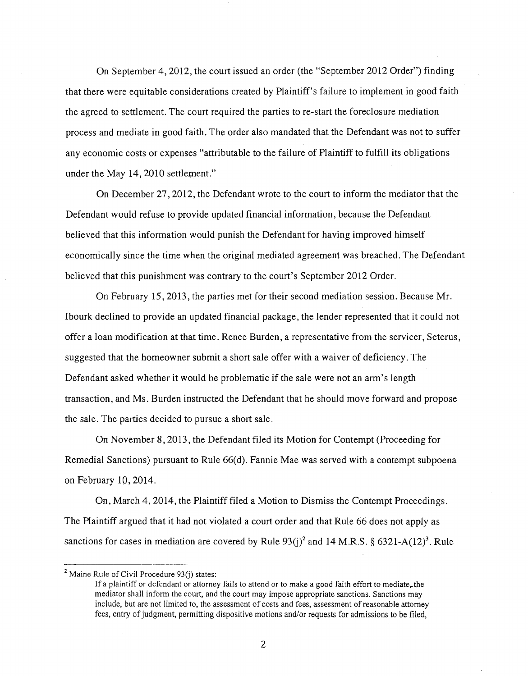On September 4, 2012, the court issued an order (the "September 2012 Order") finding that there were equitable considerations created by Plaintiff's failure to implement in good faith the agreed to settlement. The court required the parties to re-start the foreclosure mediation process and mediate in good faith. The order also mandated that the Defendant was not to suffer any economic costs or expenses "attributable to the failure of Plaintiff to fulfill its obligations under the May 14,2010 settlement."

On December 27,2012, the Defendant wrote to the court to inform the mediator that the Defendant would refuse to provide updated financial information, because the Defendant believed that this information would punish the Defendant for having improved himself economically since the time when the original mediated agreement was breached. The Defendant believed that this punishment was contrary to the court's September 2012 Order.

On February 15, 2013, the parties met for their second mediation session. Because Mr. lbourk declined to provide an updated financial package, the lender represented that it could not offer a loan modification at that time. Renee Burden, a representative from the servicer, Seterus, suggested that the homeowner submit a short sale offer with a waiver of deficiency. The Defendant asked whether it would be problematic if the sale were not an arm's length transaction, and Ms. Burden instructed the Defendant that he should move forward and propose the sale. The parties decided to pursue a short sale.

On November 8, 2013, the Defendant filed its Motion for Contempt (Proceeding for Remedial Sanctions) pursuant to Rule 66(d). Fannie Mae was served with a contempt subpoena on February 10,2014.

On, March 4, 2014, the Plaintiff filed a Motion to Dismiss the Contempt Proceedings. The Plaintiff argued that it had not violated a court order and that Rule 66 does not apply as sanctions for cases in mediation are covered by Rule  $93(i)^2$  and 14 M.R.S. § 6321-A(12)<sup>3</sup>. Rule

<sup>&</sup>lt;sup>2</sup> Maine Rule of Civil Procedure  $93(j)$  states:

If a plaintiff or defendant or attorney fails to attend or to make a good faith effort to mediate, the mediator shall inform the court, and the court may impose appropriate sanctions. Sanctions may include, but are not limited to, the assessment of costs and fees, assessment of reasonable attorney fees, entry of judgment, permitting dispositive motions and/or requests for admissions to be filed,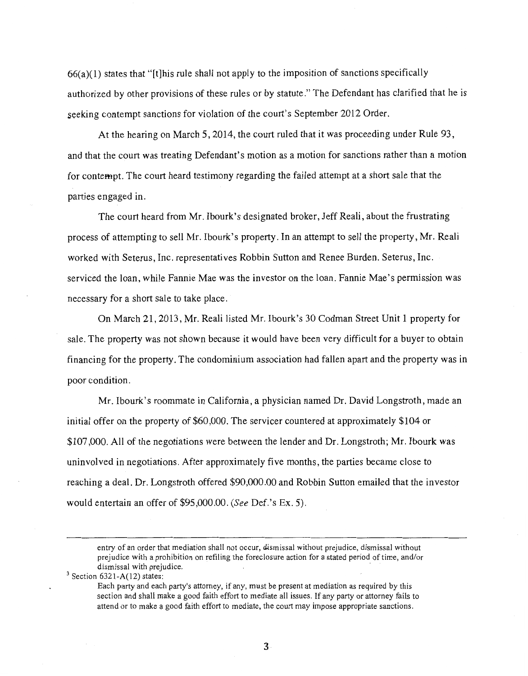$66(a)(1)$  states that "[t]his rule shall not apply to the imposition of sanctions specifically authorized by other provisions of these rules or by statute." The Defendant has clarified that he is seeking contempt sanctions for violation of the court's September 2012 Order.

At the hearing on March 5, 2014, the court ruled that it was proceeding under Rule 93, and that the court was treating Defendant's motion as a motion for sanctions rather than a motion for contempt. The court heard testimony regarding the failed attempt at a short sale that the parties engaged in.

The court heard from Mr. Ibourk's designated broker, Jeff Reali, about the frustrating process of attempting to sell Mr. Ibourk's property. In an attempt to sell the property, Mr. Reali worked with Seterus, Inc. representatives Robbin Sutton and Renee Burden. Seterus, Inc. serviced the loan, while Fannie Mae was the investor on the loan. Fannie Mae's permission was necessary for a short sale to take place.

On March 21, 2013, Mr. Reali listed Mr. Ibourk's 30 Codman Street Unit 1 property for sale. The property was not shown because it would have been very difficult for a buyer to obtain financing for the property. The condominium association had fallen apart and the property was in poor condition.

Mr. Ibourk's roommate in California, a physician named Dr. David Longstroth, made an initial offer on the property of \$60,000. The servicer countered at approximately \$104 or \$107,000. All of the negotiations were between the lender and Dr. Longstroth; Mr. Ibourk was uninvolved in negotiations. After approximately five months, the parties became close to reaching a deal. Dr. Longstroth offered \$90,000.00 and Robbin Sutton emailed that the investor would entertain an offer of \$95,000.00. (See Def.'s Ex. 5).

entry of an order that mediation shall not occur, dismissal without prejudice, dismissal without prejudice with a prohibition on refiling the foreclosure action for a stated period of time, and/or dismissal with prejudice.

 $3$  Section 6321-A(12) states:

Each party and each party's attorney, if any, must be present at mediation as required by this section and shall make a good faith effort to mediate all issues. If any party or attorney fails to attend or to make a good faith effort to mediate, the court may impose appropriate sanctions.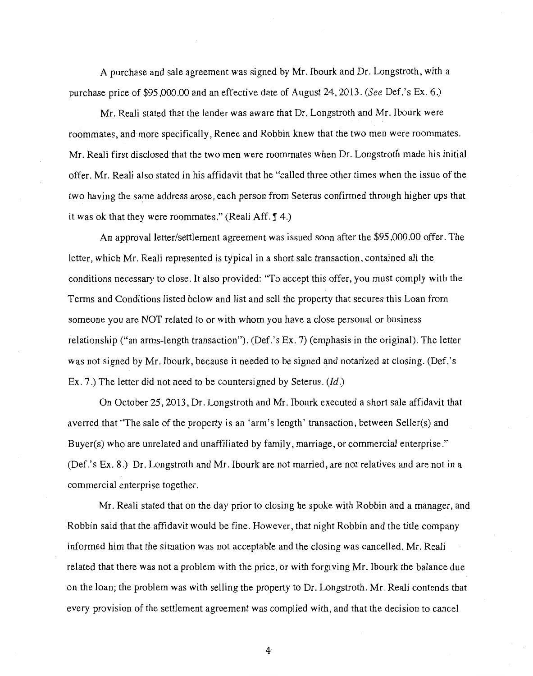A purchase and sale agreement was signed by Mr. lbourk and Dr. Longstroth, with a purchase price of \$95,000.00 and an effective date of August 24,2013. *(See* Def.'s Ex. 6.)

Mr. Reali stated that the lender was aware that Dr. Longstroth and Mr. lbourk were roommates, and more specifically, Renee and Robbin knew that the two men were roommates. Mr. Reali first disclosed that the two men were roommates when Dr. Longstrotfi made his initial offer. Mr. Reali also stated in his affidavit that he "called three other times when the issue of the two having the same address arose, each person from Seterus confirmed through higher ups that it was ok that they were roommates." (Reali Aff.  $\oint$  4.)

An approval letter/settlement agreement was issued soon after the \$95,000.00 offer. The letter, which Mr. Reali represented is typical in a short sale transaction, contained all the conditions necessary to close. It also provided: "To accept this offer, you must comply with the Terms and Conditions listed below and list and sell the property that secures this Loan from someone you are NOT related to or with whom you have a close personal or business relationship ("an arms-length transaction"). (Def.'s Ex. 7) (emphasis in the original). The letter was not signed by Mr. lbourk, because it needed to be signed and notarized at closing. (Def.'s Ex. 7 .) The letter did not need to be countersigned by Seterus. *(!d.)* 

On October 25, 2013, Dr. Longstroth and Mr. lbourk executed a short sale affidavit that averred that "The sale of the property is an 'arm's length' transaction, between Seller(s) and Buyer(s) who are unrelated and unaffiliated by family, marriage, or commercial enterprise." (Def.'s Ex. 8.) Dr. Longstroth and Mr. lbourk are not married, are not relatives and are not in a commercial enterprise together.

Mr. Reali stated that on the day prior to closing he spoke with Robbin and a manager, and Robbin said that the affidavit would be fine. However, that night Robbin and the title company informed him that the situation was not acceptable and the closing was cancelled. Mr. Reali related that there was not a problem with the price, or with forgiving Mr. lbourk the balance due on the loan; the problem was with selling the property to Dr. Longstroth. Mr. Reali contends that every provision of the settlement agreement was complied with, and that the decision to cancel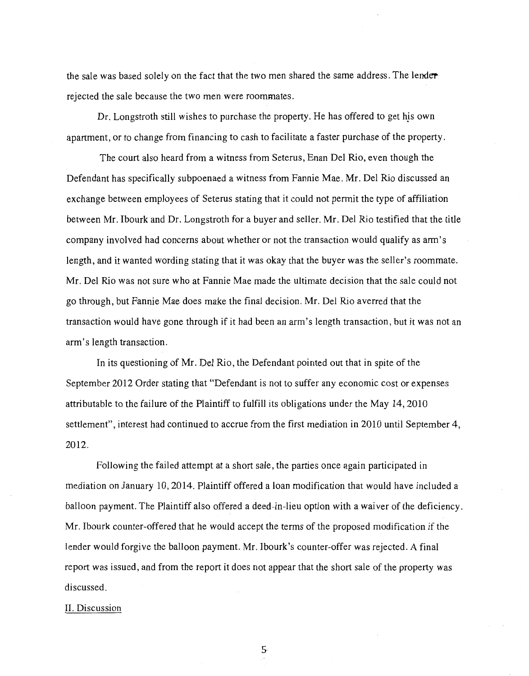the sale was based solely on the fact that the two men shared the same address. The lender rejected the sale because the two men were roommates.

Dr. Longstroth still wishes to purchase the property. He has offered to get his own apartment, or to change from financing to cash to facilitate a faster purchase of the property.

The court also heard from a witness from Seterus, Enan Del Rio, even though the Defendant has specifically subpoenaed a witness from Fannie Mae. Mr. Del Rio discussed an exchange between employees of Seterus stating that it could not permit the type of affiliation between Mr. lbourk and Dr. Longstreth for a buyer and seller. Mr. Del Rio testified that the title company involved had concerns about whether or not the transaction would qualify as arm's length, and it wanted wording stating that it was okay that the buyer was the seller's roommate. Mr. Del Rio was not sure who at Fannie Mae made the ultimate decision that the sale could not go through, but Fannie Mae does make the final decision. Mr. Del Rio averred that the transaction would have gone through if it had been an arm's length transaction, but it was not an arm's length transaction.

In its questioning of Mr. Del Rio, the Defendant pointed out that in spite of the September 2012 Order stating that "Defendant is not to suffer any economic cost or expenses attributable to the failure of the Plaintiff to fulfill its obligations under the May 14,2010 settlement", interest had continued to accrue from the first mediation in 2010 until September 4, 2012.

Following the failed attempt at a short sale, the parties once again participated in mediation on January 10, 2014. Plaintiff offered a loan modification that would have included a balloon payment. The Plaintiff also offered a deed-in-lieu option with a waiver of the deficiency. Mr. Ibourk counter-offered that he would accept the terms of the proposed modification if the lender would forgive the balloon payment. Mr. Ibourk's counter-offer was rejected. A final report was issued, and from the report it does not appear that the short sale of the property was discussed.

## II. Discussion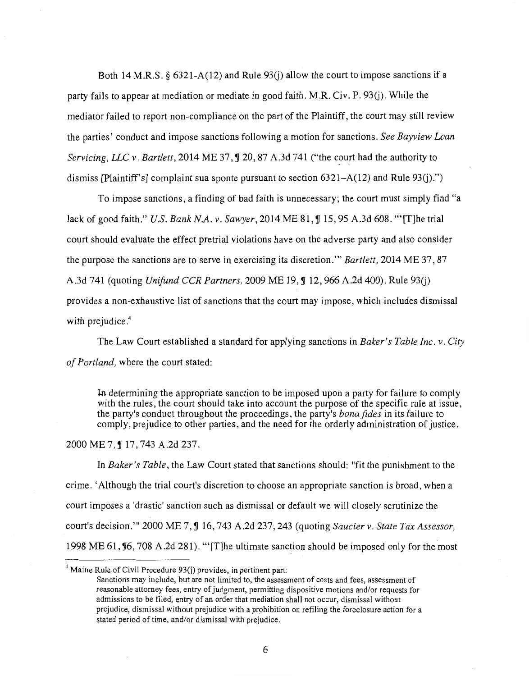Both 14 M.R.S.  $\S$  6321-A(12) and Rule 93(j) allow the court to impose sanctions if a party fails to appear at mediation or mediate in good faith. M.R. Civ. P.  $93(i)$ . While the mediator failed to report non-compliance on the part of the Plaintiff, the court may still review the parties' conduct and impose sanctions following a motion for sanctions. *See Bayview Loan Servicing, LLC v. Bartlett,* 2014 ME 37,  $\sqrt{ }$  20, 87 A.3d 741 ("the court had the authority to dismiss [Plaintiff's] complaint sua sponte pursuant to section  $6321 - A(12)$  and Rule  $93(j)$ .")

To impose sanctions, a finding of bad faith is unnecessary; the court must simply find "a lack of good faith." *U.S. Bank N.A. v. Sawyer*, 2014 ME 81, ¶ 15, 95 A.3d 608. "'[T]he trial court should evaluate the effect pretrial violations have on the adverse party and also consider the purpose the sanctions are to serve in exercising its discretion."' *Bartlett,* 2014 ME 37, 87 A.3d 741 (quoting *Unifund CCR Partners, 2009 ME 19, ¶ 12, 966 A.2d 400)*. Rule 93(j) provides a non-exhaustive list of sanctions that the court may impose, which includes dismissal with prejudice.<sup>4</sup>

The Law Court established a standard for applying sanctions in *Baker's Table Inc. v. City of Portland,* where the court stated:

In determining the appropriate sanction to be imposed upon a party for failure to comply with the rules, the court should take into account the purpose of the specific rule at issue, the party's conduct throughout the proceedings, the party's *bona fides* in its failure to comply, prejudice to other parties, and the need for the orderly administration of justice.

## 2000 ME 7, ¶ 17, 743 A.2d 237.

In *Baker's Table,* the Law Court stated that sanctions should: "fit the punishment to the crime. 'Although the trial court's discretion to choose an appropriate sanction is broad, when a court imposes a 'drastic' sanction such as dismissal or default we will closely scrutinize the court's decision." 2000 ME 7, **[ 16, 743 A.2d 237, 243 (quoting** *Saucier v. State Tax Assessor*, 1998 ME 61, 16, 708 A.2d 281). "' [T]he ultimate sanction should be imposed only for the most

 $4$  Maine Rule of Civil Procedure 93(j) provides, in pertinent part:

Sanctions may include, but are not limited to, the assessment of costs and fees, assessment of reasonable attorney fees, entry of judgment, permitting dispositive motions and/or requests for admissions to be filed, entry of an order that mediation shall not occur, dismissal without prejudice, dismissal without prejudice with a prohibition on refiling the foreclosure action for a stated period of time, and/or dismissal with prejudice.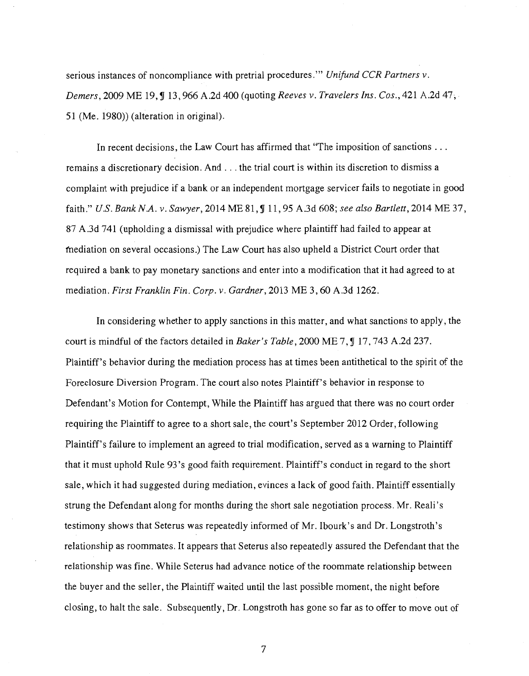serious instances of noncompliance with pretrial procedures."' *Unifund CCR Partners v. Demers, 2009 ME 19, ¶ 13, 966 A.2d 400 (quoting Reeves v. Travelers Ins. Cos., 421 A.2d 47, ·* 51 (Me. 1980)) (alteration in original).

In recent decisions, the Law Court has affirmed that "The imposition of sanctions . . . remains a discretionary decision. And ... the trial court is within its discretion to dismiss a complaint with prejudice if a bank or an independent mortgage servicer fails to negotiate in good faith." *U.S. Bank N.A. v. Sawyer*, 2014 ME 81, ¶ 11, 95 A.3d 608; see also Bartlett, 2014 ME 37, 87 A .3d 741 (upholding a dismissal with prejudice where plaintiff had failed to appear at mediation on several occasions.) The Law Court has also upheld a District Court order that required a bank to pay monetary sanctions and enter into a modification that it had agreed to at mediation. *First Franklin Fin. Corp. v. Gardner,* 2013 ME 3, 60 A.3d 1262.

In considering whether to apply sanctions in this matter, and what sanctions to apply, the court is mindful of the factors detailed in *Baker's Table*, 2000 ME 7, ¶ 17, 743 A.2d 237. Plaintiff's behavior during the mediation process has at times been antithetical to the spirit of the Foreclosure Diversion Program. The court also notes Plaintiff's behavior in response to Defendant's Motion for Contempt, While the Plaintiff has argued that there was no court order requiring the Plaintiff to agree to a short sale, the court's September 2012 Order, following Plaintiff's failure to implement an agreed to trial modification, served as a warning to Plaintiff that it must uphold Rule 93's good faith requirement. Plaintiff's conduct in regard to the short sale, which it had suggested during mediation, evinces a lack of good faith. Plaintiff essentially strung the Defendant along for months during the short sale negotiation process. Mr. Reali's testimony shows that Seterus was repeatedly informed of Mr. Ibourk's and Dr. Longstreth's relationship as roommates. It appears that Seterus also repeatedly assured the Defendant that the relationship was fine. While Seterus had advance notice of the roommate relationship between the buyer and the seller, the Plaintiff waited until the last possible moment, the night before closing, to halt the sale. Subsequently, Dr. Longstreth has gone so far as to offer to move out of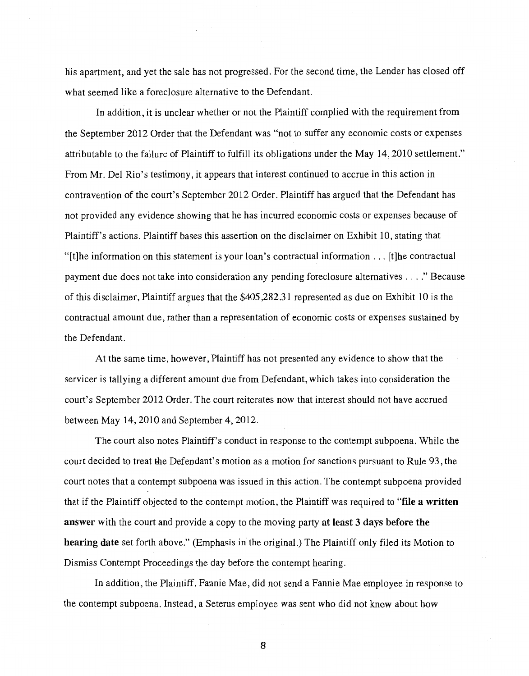his apartment, and yet the sale has not progressed. For the second time, the Lender has closed off what seemed like a foreclosure alternative to the Defendant.

In addition, it is unclear whether or not the Plaintiff complied with the requirement from the September 2012 Order that the Defendant was "not to suffer any economic costs or expenses attributable to the failure of Plaintiff to fulfill its obligations under the May 14, 2010 settlement." From Mr. Del Rio's testimony, it appears that interest continued to accrue in this action in contravention of the court's September 2012 Order. Plaintiff has argued that the Defendant has not provided any evidence showing that he has incurred economic costs or expenses because of Plaintiff's actions. Plaintiff bases this assertion on the disclaimer on Exhibit 10, stating that "[t]he information on this statement is your loan's contractual information ... [t]he contractual payment due does not take into consideration any pending foreclosure alternatives .... " Because of this disclaimer, Plaintiff argues that the \$405,282.31 represented as due on Exhibit 10 is the contractual amount due, rather than a representation of economic costs or expenses sustained by the Defendant.

At the same time, however, Plaintiff has not presented any evidence to show that the servicer is tallying a different amount due from Defendant, which takes into consideration the court's September 2012 Order. The court reiterates now that interest should not have accrued between May 14,2010 and September 4, 2012.

The court also notes Plaintiff's conduct in response to the contempt subpoena. While the court decided to treat the Defendant's motion as a motion for sanctions pursuant to Rule 93, the court notes that a contempt subpoena was issued in this action. The contempt subpoena provided that if the Plaintiff objected to the contempt motion, the Plaintiff was required to "file a written answer with the court and provide a copy to the moving party at least 3 days before the hearing date set forth above." (Emphasis in the original.) The Plaintiff only filed its Motion to Dismiss Contempt Proceedings the day before the contempt hearing.

In addition, the Plaintiff, Fannie Mae, did not send a Fannie Mae employee in response to the contempt subpoena. Instead, a Seterus employee was sent who did not know about how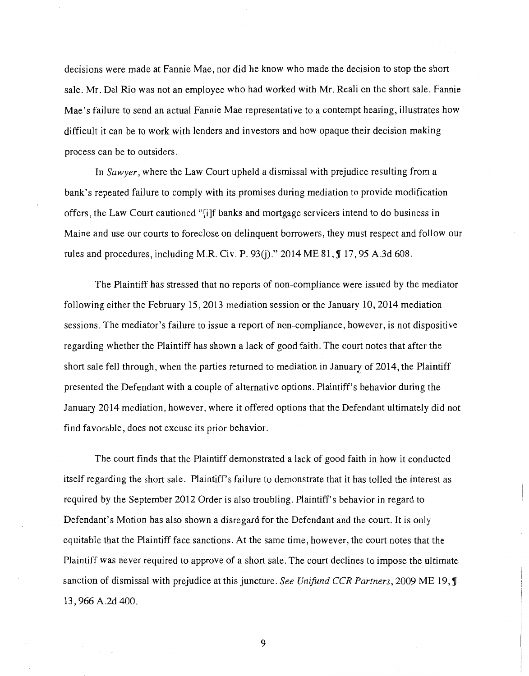decisions were made at Fannie Mae, nor did he know who made the decision to stop the short sale. Mr. Del Rio was not an employee who had worked with Mr. Reali on the short sale. Fannie Mae's failure to send an actual Fannie Mae representative to a contempt hearing, illustrates how difficult it can be to work with lenders and investors and how opaque their decision making process can be to outsiders.

In *Sawyer,* where the Law Court upheld a dismissal with prejudice resulting from a bank's repeated failure to comply with its promises during mediation to provide modification offers, the Law Court cautioned "[i]f banks and mortgage servicers intend to do business in Maine and use our courts to foreclose on delinquent borrowers, they must respect and follow our rules and procedures, including M.R. Civ. P. 93(j)." 2014 ME 81,  $\int$  17, 95 A.3d 608.

The Plaintiff has stressed that no reports of non-compliance were issued by the mediator following either the February 15,2013 mediation session or the January 10,2014 mediation sessions. The mediator's failure to issue a report of non-compliance, however, is not dispositive regarding whether the Plaintiff has shown a lack of good faith. The court notes that after the short sale fell through, when the parties returned to mediation in January of 2014, the Plaintiff presented the Defendant with a couple of alternative options. Plaintiff's behavior during the January 2014 mediation, however, where it offered options that the Defendant ultimately did not find favorable, does not excuse its prior behavior.

The court finds that the Plaintiff demonstrated a lack of good faith in how it conducted itself regarding the short sale. Plaintiff's failure to demonstrate that it has tolled the interest as required by the September 2012 Order is also troubling. Plaintiff's behavior in regard to Defendant's Motion has also shown a disregard for the Defendant and the court. It is only equitable that the Plaintiff face sanctions. At the same time, however, the court notes that the Plaintiff was never required to approve of a short sale. The court declines to impose the ultimate sanction of dismissal with prejudice at this juncture. *See Unifund CCR Partners*, 2009 ME 19, *J* 13,966 A.2d 400.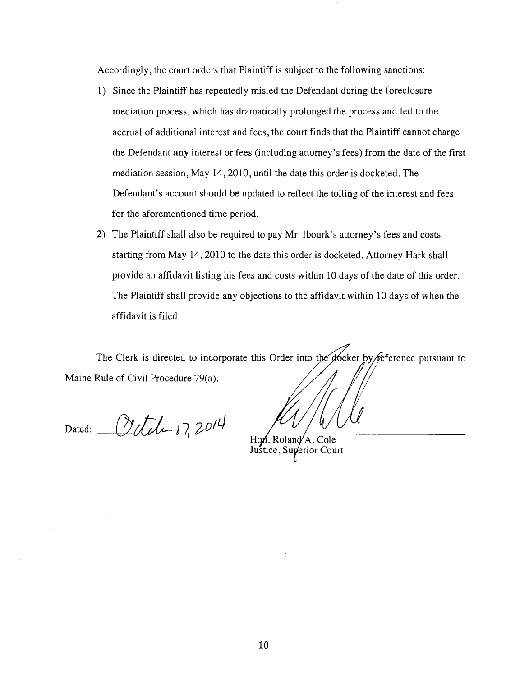Accordingly, the court orders that Plaintiff is subject to the following sanctions:

- 1) Since the Plaintiff has repeatedly misled the Defendant during the foreclosure mediation process, which has dramatically prolonged the process and led to the accrual of additional interest and fees, the court finds that the Plaintiff cannot charge the Defendant **any** interest or fees (including attorney's fees) from the date of the first mediation session, May 14,2010, until the date this order is docketed. The Defendant's account should be updated to reflect the tolling of the interest and fees for the aforementioned time period.
- 2) The Plaintiff shall also be required to pay Mr. Ibourk's attorney's fees and costs starting from May 14, 2010 to the date this order is docketed. Attorney Hark shall provide an affidavit listing his fees and costs within 10 days of the date of this order. The Plaintiff shall provide any objections to the affidavit within 10 days of when the affidavit is filed.

The Clerk is directed to incorporate this Order into the docket by reference pursuant to Maine Rule of Civil Procedure 79(a).

Dated: 26/2014

Hon. Roland A. Cole<br>Justice, Superior Court